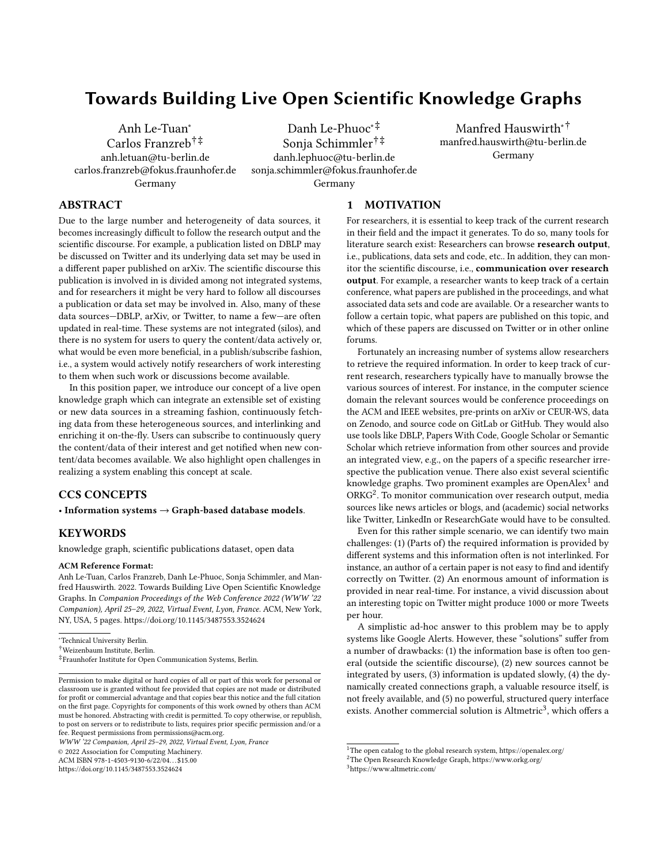# Towards Building Live Open Scientific Knowledge Graphs

[Anh Le-Tuan](https://orcid.org/0000-0003-2458-607X)<sup>∗</sup> [Carlos Franzreb](https://orcid.org/0000-0002-1188-7861)†‡ anh.letuan@tu-berlin.de carlos.franzreb@fokus.fraunhofer.de Germany

[Danh Le-Phuoc](https://orcid.org/0000-0003-2480-9261)∗‡ [Sonja Schimmler](https://orcid.org/0000-0002-8786-7250)†‡ danh.lephuoc@tu-berlin.de sonja.schimmler@fokus.fraunhofer.de Germany

[Manfred Hauswirth](https://orcid.org/0000-0002-1839-0372)∗† manfred.hauswirth@tu-berlin.de Germany

## ABSTRACT

Due to the large number and heterogeneity of data sources, it becomes increasingly difficult to follow the research output and the scientific discourse. For example, a publication listed on DBLP may be discussed on Twitter and its underlying data set may be used in a different paper published on arXiv. The scientific discourse this publication is involved in is divided among not integrated systems, and for researchers it might be very hard to follow all discourses a publication or data set may be involved in. Also, many of these data sources—DBLP, arXiv, or Twitter, to name a few—are often updated in real-time. These systems are not integrated (silos), and there is no system for users to query the content/data actively or, what would be even more beneficial, in a publish/subscribe fashion, i.e., a system would actively notify researchers of work interesting to them when such work or discussions become available.

In this position paper, we introduce our concept of a live open knowledge graph which can integrate an extensible set of existing or new data sources in a streaming fashion, continuously fetching data from these heterogeneous sources, and interlinking and enriching it on-the-fly. Users can subscribe to continuously query the content/data of their interest and get notified when new content/data becomes available. We also highlight open challenges in realizing a system enabling this concept at scale.

### CCS CONCEPTS

• Information systems  $\rightarrow$  Graph-based database models.

### **KEYWORDS**

knowledge graph, scientific publications dataset, open data

#### ACM Reference Format:

Anh Le-Tuan, Carlos Franzreb, Danh Le-Phuoc, Sonja Schimmler, and Manfred Hauswirth. 2022. Towards Building Live Open Scientific Knowledge Graphs. In Companion Proceedings of the Web Conference 2022 (WWW '22 Companion), April 25–29, 2022, Virtual Event, Lyon, France. ACM, New York, NY, USA, [5](#page-4-0) pages.<https://doi.org/10.1145/3487553.3524624>

© 2022 Association for Computing Machinery.

ACM ISBN 978-1-4503-9130-6/22/04. . . \$15.00

<https://doi.org/10.1145/3487553.3524624>

### 1 MOTIVATION

For researchers, it is essential to keep track of the current research in their field and the impact it generates. To do so, many tools for literature search exist: Researchers can browse research output, i.e., publications, data sets and code, etc.. In addition, they can monitor the scientific discourse, i.e., communication over research output. For example, a researcher wants to keep track of a certain conference, what papers are published in the proceedings, and what associated data sets and code are available. Or a researcher wants to follow a certain topic, what papers are published on this topic, and which of these papers are discussed on Twitter or in other online forums.

Fortunately an increasing number of systems allow researchers to retrieve the required information. In order to keep track of current research, researchers typically have to manually browse the various sources of interest. For instance, in the computer science domain the relevant sources would be conference proceedings on the ACM and IEEE websites, pre-prints on arXiv or CEUR-WS, data on Zenodo, and source code on GitLab or GitHub. They would also use tools like DBLP, Papers With Code, Google Scholar or Semantic Scholar which retrieve information from other sources and provide an integrated view, e.g., on the papers of a specific researcher irrespective the publication venue. There also exist several scientific knowledge graphs. Two prominent examples are OpenAlex $^{\rm 1}$  $^{\rm 1}$  $^{\rm 1}$  and ORKG<sup>[2](#page-0-1)</sup>. To monitor communication over research output, media sources like news articles or blogs, and (academic) social networks like Twitter, LinkedIn or ResearchGate would have to be consulted.

Even for this rather simple scenario, we can identify two main challenges: (1) (Parts of) the required information is provided by different systems and this information often is not interlinked. For instance, an author of a certain paper is not easy to find and identify correctly on Twitter. (2) An enormous amount of information is provided in near real-time. For instance, a vivid discussion about an interesting topic on Twitter might produce 1000 or more Tweets per hour.

A simplistic ad-hoc answer to this problem may be to apply systems like Google Alerts. However, these "solutions" suffer from a number of drawbacks: (1) the information base is often too general (outside the scientific discourse), (2) new sources cannot be integrated by users, (3) information is updated slowly, (4) the dynamically created connections graph, a valuable resource itself, is not freely available, and (5) no powerful, structured query interface exists. Another commercial solution is Altmetric<sup>[3](#page-0-2)</sup>, which offers a

<sup>∗</sup>Technical University Berlin.

<sup>†</sup>Weizenbaum Institute, Berlin.

<sup>‡</sup> Fraunhofer Institute for Open Communication Systems, Berlin.

Permission to make digital or hard copies of all or part of this work for personal or classroom use is granted without fee provided that copies are not made or distributed for profit or commercial advantage and that copies bear this notice and the full citation on the first page. Copyrights for components of this work owned by others than ACM must be honored. Abstracting with credit is permitted. To copy otherwise, or republish, to post on servers or to redistribute to lists, requires prior specific permission and/or a fee. Request permissions from permissions@acm.org.

WWW '22 Companion, April 25–29, 2022, Virtual Event, Lyon, France

<span id="page-0-0"></span> $^1\mathrm{The}$  open catalog to the global research system,<https://openalex.org/>

<span id="page-0-1"></span><sup>2</sup>The Open Research Knowledge Graph,<https://www.orkg.org/>

<span id="page-0-2"></span><sup>3</sup><https://www.altmetric.com/>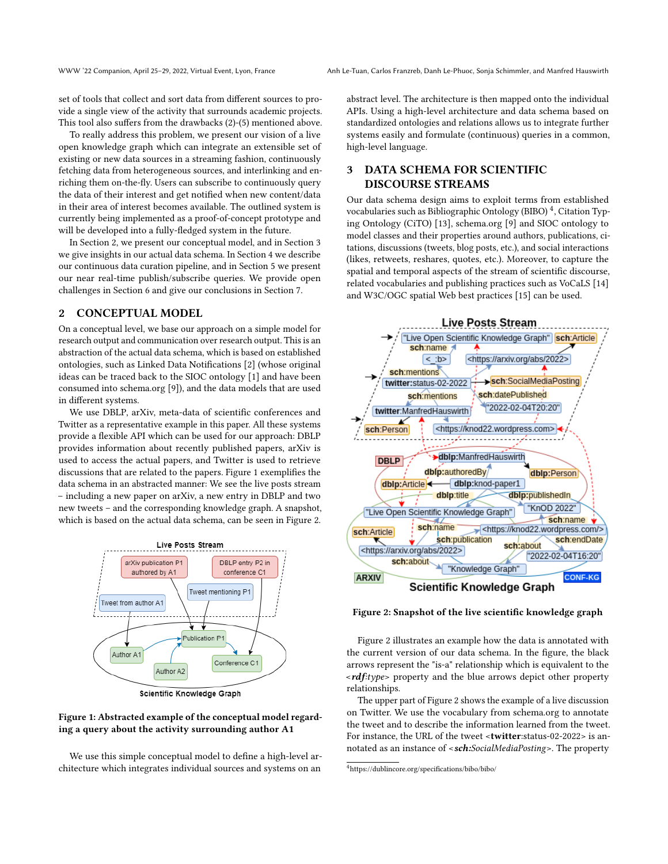set of tools that collect and sort data from different sources to provide a single view of the activity that surrounds academic projects. This tool also suffers from the drawbacks (2)-(5) mentioned above.

To really address this problem, we present our vision of a live open knowledge graph which can integrate an extensible set of existing or new data sources in a streaming fashion, continuously fetching data from heterogeneous sources, and interlinking and enriching them on-the-fly. Users can subscribe to continuously query the data of their interest and get notified when new content/data in their area of interest becomes available. The outlined system is currently being implemented as a proof-of-concept prototype and will be developed into a fully-fledged system in the future.

In Section [2,](#page-1-0) we present our conceptual model, and in Section [3](#page-1-1) we give insights in our actual data schema. In Section [4](#page-2-0) we describe our continuous data curation pipeline, and in Section [5](#page-2-1) we present our near real-time publish/subscribe queries. We provide open challenges in Section [6](#page-3-0) and give our conclusions in Section [7.](#page-3-1)

### <span id="page-1-0"></span>2 CONCEPTUAL MODEL

On a conceptual level, we base our approach on a simple model for research output and communication over research output. This is an abstraction of the actual data schema, which is based on established ontologies, such as Linked Data Notifications [\[2\]](#page-4-1) (whose original ideas can be traced back to the SIOC ontology [\[1\]](#page-4-2) and have been consumed into schema.org [\[9\]](#page-4-3)), and the data models that are used in different systems.

We use DBLP, arXiv, meta-data of scientific conferences and Twitter as a representative example in this paper. All these systems provide a flexible API which can be used for our approach: DBLP provides information about recently published papers, arXiv is used to access the actual papers, and Twitter is used to retrieve discussions that are related to the papers. Figure [1](#page-1-2) exemplifies the data schema in an abstracted manner: We see the live posts stream – including a new paper on arXiv, a new entry in DBLP and two new tweets – and the corresponding knowledge graph. A snapshot, which is based on the actual data schema, can be seen in Figure [2.](#page-1-3)

<span id="page-1-2"></span>

Scientific Knowledge Graph

### Figure 1: Abstracted example of the conceptual model regarding a query about the activity surrounding author A1

We use this simple conceptual model to define a high-level architecture which integrates individual sources and systems on an

abstract level. The architecture is then mapped onto the individual APIs. Using a high-level architecture and data schema based on standardized ontologies and relations allows us to integrate further systems easily and formulate (continuous) queries in a common, high-level language.

# <span id="page-1-1"></span>3 DATA SCHEMA FOR SCIENTIFIC DISCOURSE STREAMS

Our data schema design aims to exploit terms from established vocabularies such as Bibliographic Ontology (BIBO)  $^4$  $^4$ , Citation Typing Ontology (CiTO) [\[13\]](#page-4-4), schema.org [\[9\]](#page-4-3) and SIOC ontology to model classes and their properties around authors, publications, citations, discussions (tweets, blog posts, etc.), and social interactions (likes, retweets, reshares, quotes, etc.). Moreover, to capture the spatial and temporal aspects of the stream of scientific discourse, related vocabularies and publishing practices such as VoCaLS [\[14\]](#page-4-5) and W3C/OGC spatial Web best practices [\[15\]](#page-4-6) can be used.

<span id="page-1-3"></span>

Figure 2: Snapshot of the live scientific knowledge graph

Figure [2](#page-1-3) illustrates an example how the data is annotated with the current version of our data schema. In the figure, the black arrows represent the "is-a" relationship which is equivalent to the  $\langle \mathbf{r} \cdot \mathbf{r} \cdot \mathbf{r} \cdot \mathbf{r} \rangle$  arrows depict other property relationships.

The upper part of Figure [2](#page-1-3) shows the example of a live discussion on Twitter. We use the vocabulary from schema.org to annotate the tweet and to describe the information learned from the tweet. For instance, the URL of the tweet <twitter:status-02-2022> is annotated as an instance of <sch:SocialMediaPosting>. The property

<span id="page-1-4"></span><sup>4</sup>https://dublincore.org/specifications/bibo/bibo/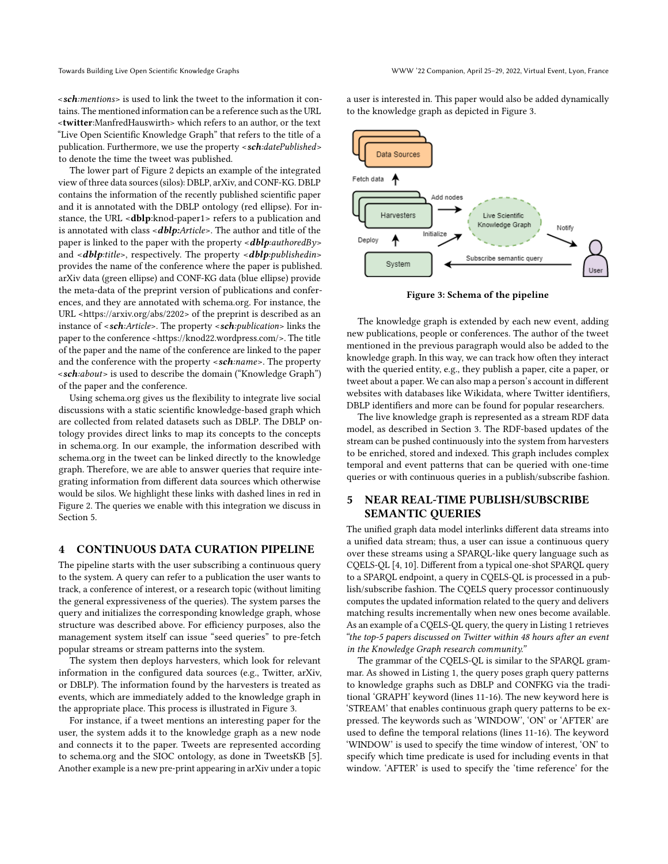$\leq$ sch:*mentions*> is used to link the tweet to the information it contains. The mentioned information can be a reference such as the URL <twitter:ManfredHauswirth> which refers to an author, or the text "Live Open Scientific Knowledge Graph" that refers to the title of a publication. Furthermore, we use the property  $\langle \textit{sch:} datePublished \rangle$ to denote the time the tweet was published.

The lower part of Figure [2](#page-1-3) depicts an example of the integrated view of three data sources (silos): DBLP, arXiv, and CONF-KG. DBLP contains the information of the recently published scientific paper and it is annotated with the DBLP ontology (red ellipse). For instance, the URL <dblp:knod-paper1> refers to a publication and is annotated with class <*dblp*:Article>. The author and title of the paper is linked to the paper with the property  $\langle \textbf{dblp:}{}q \textbf{dth} \textbf{d} \textbf{B} \textbf{y} \rangle$ and <**dblp**:title>, respectively. The property <**dblp**:publishedin> provides the name of the conference where the paper is published. arXiv data (green ellipse) and CONF-KG data (blue ellipse) provide the meta-data of the preprint version of publications and conferences, and they are annotated with schema.org. For instance, the URL <https://arxiv.org/abs/2202> of the preprint is described as an instance of <sch:Article>. The property <sch:publication> links the paper to the conference <https://knod22.wordpress.com/>. The title of the paper and the name of the conference are linked to the paper and the conference with the property <sch:name>. The property <sch:about> is used to describe the domain ("Knowledge Graph") of the paper and the conference.

Using schema.org gives us the flexibility to integrate live social discussions with a static scientific knowledge-based graph which are collected from related datasets such as DBLP. The DBLP ontology provides direct links to map its concepts to the concepts in schema.org. In our example, the information described with schema.org in the tweet can be linked directly to the knowledge graph. Therefore, we are able to answer queries that require integrating information from different data sources which otherwise would be silos. We highlight these links with dashed lines in red in Figure [2.](#page-1-3) The queries we enable with this integration we discuss in Section [5.](#page-2-1)

### <span id="page-2-0"></span>4 CONTINUOUS DATA CURATION PIPELINE

The pipeline starts with the user subscribing a continuous query to the system. A query can refer to a publication the user wants to track, a conference of interest, or a research topic (without limiting the general expressiveness of the queries). The system parses the query and initializes the corresponding knowledge graph, whose structure was described above. For efficiency purposes, also the management system itself can issue "seed queries" to pre-fetch popular streams or stream patterns into the system.

The system then deploys harvesters, which look for relevant information in the configured data sources (e.g., Twitter, arXiv, or DBLP). The information found by the harvesters is treated as events, which are immediately added to the knowledge graph in the appropriate place. This process is illustrated in Figure [3.](#page-2-2)

For instance, if a tweet mentions an interesting paper for the user, the system adds it to the knowledge graph as a new node and connects it to the paper. Tweets are represented according to schema.org and the SIOC ontology, as done in TweetsKB [\[5\]](#page-4-7). Another example is a new pre-print appearing in arXiv under a topic a user is interested in. This paper would also be added dynamically to the knowledge graph as depicted in Figure [3.](#page-1-1)

<span id="page-2-2"></span>

Figure 3: Schema of the pipeline

The knowledge graph is extended by each new event, adding new publications, people or conferences. The author of the tweet mentioned in the previous paragraph would also be added to the knowledge graph. In this way, we can track how often they interact with the queried entity, e.g., they publish a paper, cite a paper, or tweet about a paper. We can also map a person's account in different websites with databases like Wikidata, where Twitter identifiers, DBLP identifiers and more can be found for popular researchers.

The live knowledge graph is represented as a stream RDF data model, as described in Section [3.](#page-1-1) The RDF-based updates of the stream can be pushed continuously into the system from harvesters to be enriched, stored and indexed. This graph includes complex temporal and event patterns that can be queried with one-time queries or with continuous queries in a publish/subscribe fashion.

## <span id="page-2-1"></span>5 NEAR REAL-TIME PUBLISH/SUBSCRIBE SEMANTIC QUERIES

The unified graph data model interlinks different data streams into a unified data stream; thus, a user can issue a continuous query over these streams using a SPARQL-like query language such as CQELS-QL [\[4,](#page-4-8) [10\]](#page-4-9). Different from a typical one-shot SPARQL query to a SPARQL endpoint, a query in CQELS-QL is processed in a publish/subscribe fashion. The CQELS query processor continuously computes the updated information related to the query and delivers matching results incrementally when new ones become available. As an example of a CQELS-QL query, the query in Listing [1](#page-3-2) retrieves "the top-5 papers discussed on Twitter within 48 hours after an event in the Knowledge Graph research community."

The grammar of the CQELS-QL is similar to the SPARQL grammar. As showed in Listing [1,](#page-3-2) the query poses graph query patterns to knowledge graphs such as DBLP and CONFKG via the traditional 'GRAPH' keyword (lines 11-16). The new keyword here is 'STREAM' that enables continuous graph query patterns to be expressed. The keywords such as 'WINDOW', 'ON' or 'AFTER' are used to define the temporal relations (lines 11-16). The keyword 'WINDOW' is used to specify the time window of interest, 'ON' to specify which time predicate is used for including events in that window. 'AFTER' is used to specify the 'time reference' for the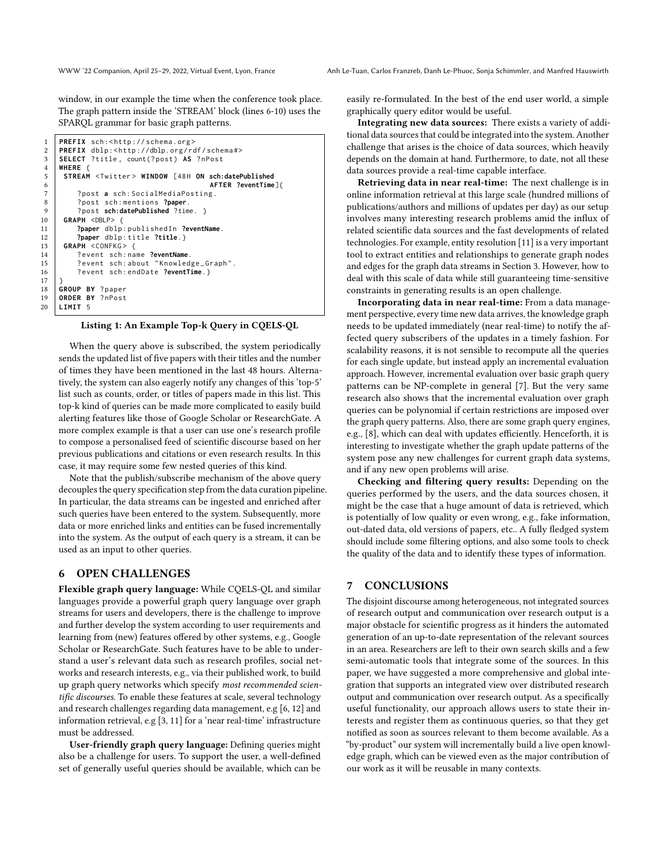window, in our example the time when the conference took place. The graph pattern inside the 'STREAM' block (lines 6-10) uses the SPARQL grammar for basic graph patterns.

```
1 PREFIX sch: < http://schema.org>
 2 PREFIX dblp:<http://dblp.org/rdf/schema#><br>3 SELECT ?title. count(?post) AS ?nPost
    3 SELECT ? title , count(? post ) AS ? nPost
 4 WHERE {
5 STREAM <Twitter> WINDOW [48H ON sch:datePublished<br>6 AFTER ?eventTime
                                           6 AFTER ?eventTime]{
7 ? post a sch : SocialMediaPosting .
8 ? post sch : mentions ?paper.
         9 ? post sch:datePublished ?time. }
10 GRAPH <DBLP> {
11 ?paper dblp : publishedIn ?eventName.
12 ?paper dblp : title ?title.}
13 | GRAPH <CONFKG> {
14 ? event sch : name ?eventName.
15 | ?event sch: about "Knowledge_Graph".
16 ? event sch : endDate ?eventTime.}
18 GROUP BY ? paper
    19 ORDER BY ? nPost
20 LIMIT 5
```
17 }

#### Listing 1: An Example Top-k Query in CQELS-QL

When the query above is subscribed, the system periodically sends the updated list of five papers with their titles and the number of times they have been mentioned in the last 48 hours. Alternatively, the system can also eagerly notify any changes of this 'top-5' list such as counts, order, or titles of papers made in this list. This top-k kind of queries can be made more complicated to easily build alerting features like those of Google Scholar or ResearchGate. A more complex example is that a user can use one's research profile to compose a personalised feed of scientific discourse based on her previous publications and citations or even research results. In this case, it may require some few nested queries of this kind.

Note that the publish/subscribe mechanism of the above query decouples the query specification step from the data curation pipeline. In particular, the data streams can be ingested and enriched after such queries have been entered to the system. Subsequently, more data or more enriched links and entities can be fused incrementally into the system. As the output of each query is a stream, it can be used as an input to other queries.

### <span id="page-3-0"></span>6 OPEN CHALLENGES

Flexible graph query language: While CQELS-QL and similar languages provide a powerful graph query language over graph streams for users and developers, there is the challenge to improve and further develop the system according to user requirements and learning from (new) features offered by other systems, e.g., Google Scholar or ResearchGate. Such features have to be able to understand a user's relevant data such as research profiles, social networks and research interests, e.g., via their published work, to build up graph query networks which specify most recommended scientific discourses. To enable these features at scale, several technology and research challenges regarding data management, e.g [\[6,](#page-4-10) [12\]](#page-4-11) and information retrieval, e.g [\[3,](#page-4-12) [11\]](#page-4-13) for a 'near real-time' infrastructure must be addressed.

User-friendly graph query language: Defining queries might also be a challenge for users. To support the user, a well-defined set of generally useful queries should be available, which can be easily re-formulated. In the best of the end user world, a simple graphically query editor would be useful.

Integrating new data sources: There exists a variety of additional data sources that could be integrated into the system. Another challenge that arises is the choice of data sources, which heavily depends on the domain at hand. Furthermore, to date, not all these data sources provide a real-time capable interface.

Retrieving data in near real-time: The next challenge is in online information retrieval at this large scale (hundred millions of publications/authors and millions of updates per day) as our setup involves many interesting research problems amid the influx of related scientific data sources and the fast developments of related technologies. For example, entity resolution [\[11\]](#page-4-13) is a very important tool to extract entities and relationships to generate graph nodes and edges for the graph data streams in Section [3.](#page-1-1) However, how to deal with this scale of data while still guaranteeing time-sensitive constraints in generating results is an open challenge.

Incorporating data in near real-time: From a data management perspective, every time new data arrives, the knowledge graph needs to be updated immediately (near real-time) to notify the affected query subscribers of the updates in a timely fashion. For scalability reasons, it is not sensible to recompute all the queries for each single update, but instead apply an incremental evaluation approach. However, incremental evaluation over basic graph query patterns can be NP-complete in general [\[7\]](#page-4-14). But the very same research also shows that the incremental evaluation over graph queries can be polynomial if certain restrictions are imposed over the graph query patterns. Also, there are some graph query engines, e.g., [\[8\]](#page-4-15), which can deal with updates efficiently. Henceforth, it is interesting to investigate whether the graph update patterns of the system pose any new challenges for current graph data systems, and if any new open problems will arise.

Checking and filtering query results: Depending on the queries performed by the users, and the data sources chosen, it might be the case that a huge amount of data is retrieved, which is potentially of low quality or even wrong, e.g., fake information, out-dated data, old versions of papers, etc.. A fully fledged system should include some filtering options, and also some tools to check the quality of the data and to identify these types of information.

### <span id="page-3-1"></span>7 CONCLUSIONS

The disjoint discourse among heterogeneous, not integrated sources of research output and communication over research output is a major obstacle for scientific progress as it hinders the automated generation of an up-to-date representation of the relevant sources in an area. Researchers are left to their own search skills and a few semi-automatic tools that integrate some of the sources. In this paper, we have suggested a more comprehensive and global integration that supports an integrated view over distributed research output and communication over research output. As a specifically useful functionality, our approach allows users to state their interests and register them as continuous queries, so that they get notified as soon as sources relevant to them become available. As a "by-product" our system will incrementally build a live open knowledge graph, which can be viewed even as the major contribution of our work as it will be reusable in many contexts.